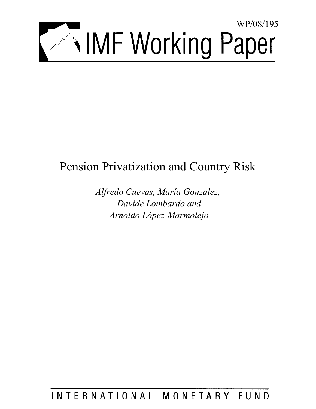

# Pension Privatization and Country Risk

*Alfredo Cuevas, María Gonzalez, Davide Lombardo and Arnoldo López-Marmolejo* 

INTERNATIONAL MONETARY FUND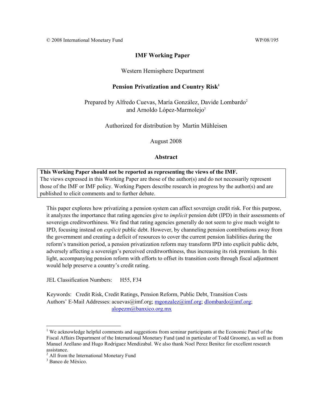## **IMF Working Paper**

## Western Hemisphere Department

## Pension Privatization and Country Risk<sup>1</sup>

Prepared by Alfredo Cuevas, María González, Davide Lombardo<sup>2</sup> and Arnoldo López-Marmolejo<sup>3</sup>

## Authorized for distribution by Martin Mühleisen

August 2008

## **Abstract**

## **This Working Paper should not be reported as representing the views of the IMF.**

The views expressed in this Working Paper are those of the author(s) and do not necessarily represent those of the IMF or IMF policy. Working Papers describe research in progress by the author(s) and are published to elicit comments and to further debate.

This paper explores how privatizing a pension system can affect sovereign credit risk. For this purpose, it analyzes the importance that rating agencies give to *implicit* pension debt (IPD) in their assessments of sovereign creditworthiness. We find that rating agencies generally do not seem to give much weight to IPD, focusing instead on *explicit* public debt. However, by channeling pension contributions away from the government and creating a deficit of resources to cover the current pension liabilities during the reform's transition period, a pension privatization reform may transform IPD into explicit public debt, adversely affecting a sovereign's perceived creditworthiness, thus increasing its risk premium. In this light, accompanying pension reform with efforts to offset its transition costs through fiscal adjustment would help preserve a country's credit rating.

JEL Classification Numbers: H55, F34

Keywords: Credit Risk, Credit Ratings, Pension Reform, Public Debt, Transition Costs Authors' E-Mail Addresses: acuevas@imf.org; mgonzalez@imf.org; dlombardo@imf.org; alopezm@banxico.org.mx

 $\overline{a}$ 

<sup>&</sup>lt;sup>1</sup> We acknowledge helpful comments and suggestions from seminar participants at the Economic Panel of the Fiscal Affairs Department of the International Monetary Fund (and in particular of Todd Groome), as well as from Manuel Arellano and Hugo Rodriguez Mendizabal. We also thank Noel Perez Benitez for excellent research assistance.

<sup>&</sup>lt;sup>2</sup> All from the International Monetary Fund

<sup>3</sup> Banco de México.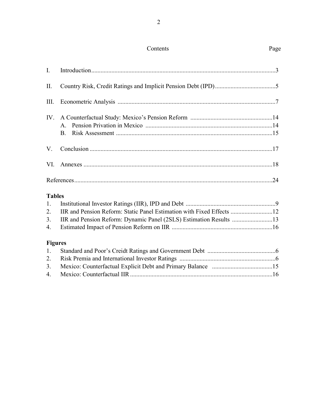# Contents Page

| $\mathbf{I}$ . |                                                                    |  |
|----------------|--------------------------------------------------------------------|--|
| $\prod$ .      |                                                                    |  |
| III.           |                                                                    |  |
| IV.            |                                                                    |  |
|                | $\mathsf{A}$                                                       |  |
|                | <b>B.</b>                                                          |  |
| $V_{\cdot}$    |                                                                    |  |
| VI.            |                                                                    |  |
|                |                                                                    |  |
| <b>Tables</b>  |                                                                    |  |
| 1.             |                                                                    |  |
| 2.             |                                                                    |  |
| 3.             | IIR and Pension Reform: Dynamic Panel (2SLS) Estimation Results 13 |  |
| 4.             |                                                                    |  |
| <b>Figures</b> |                                                                    |  |
| 1.             |                                                                    |  |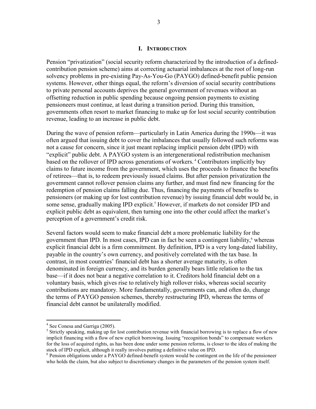## **I. INTRODUCTION**

Pension "privatization" (social security reform characterized by the introduction of a definedcontribution pension scheme) aims at correcting actuarial imbalances at the root of long-run solvency problems in pre-existing Pay-As-You-Go (PAYGO) defined-benefit public pension systems. However, other things equal, the reform's diversion of social security contributions to private personal accounts deprives the general government of revenues without an offsetting reduction in public spending because ongoing pension payments to existing pensioneers must continue, at least during a transition period. During this transition, governments often resort to market financing to make up for lost social security contribution revenue, leading to an increase in public debt.

During the wave of pension reform—particularly in Latin America during the 1990s—it was often argued that issuing debt to cover the imbalances that usually followed such reforms was not a cause for concern, since it just meant replacing implicit pension debt (IPD) with "explicit" public debt. A PAYGO system is an intergenerational redistribution mechanism based on the rollover of IPD across generations of workers. 4 Contributors implicitly buy claims to future income from the government, which uses the proceeds to finance the benefits of retirees—that is, to redeem previously issued claims. But after pension privatization the government cannot rollover pension claims any further, and must find new financing for the redemption of pension claims falling due. Thus, financing the payments of benefits to pensioners (or making up for lost contribution revenue) by issuing financial debt would be, in some sense, gradually making IPD explicit.<sup>5</sup> However, if markets do not consider IPD and explicit public debt as equivalent, then turning one into the other could affect the market's perception of a government's credit risk.

Several factors would seem to make financial debt a more problematic liability for the government than IPD. In most cases, IPD can in fact be seen a contingent liability,<sup>6</sup> whereas explicit financial debt is a firm commitment. By definition, IPD is a very long-dated liability, payable in the country's own currency, and positively correlated with the tax base. In contrast, in most countries' financial debt has a shorter average maturity, is often denominated in foreign currency, and its burden generally bears little relation to the tax base—if it does not bear a negative correlation to it. Creditors hold financial debt on a voluntary basis, which gives rise to relatively high rollover risks, whereas social security contributions are mandatory. More fundamentally, governments can, and often do, change the terms of PAYGO pension schemes, thereby restructuring IPD, whereas the terms of financial debt cannot be unilaterally modified.

1

<sup>&</sup>lt;sup>4</sup> See Conesa and Garriga (2005).

<sup>&</sup>lt;sup>5</sup> Strictly speaking, making up for lost contribution revenue with financial borrowing is to replace a flow of new implicit financing with a flow of new explicit borrowing. Issuing "recognition bonds" to compensate workers for the loss of acquired rights, as has been done under some pension reforms, is closer to the idea of making the stock of IPD explicit, although it really involves putting a definitive value on IPD.

<sup>&</sup>lt;sup>6</sup> Pension obligations under a PAYGO defined-benefit system would be contingent on the life of the pensioneer who holds the claim, but also subject to discretionary changes in the parameters of the pension system itself.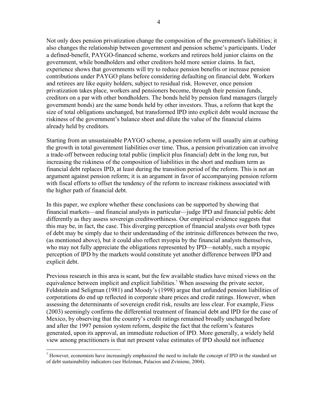Not only does pension privatization change the composition of the government's liabilities; it also changes the relationship between government and pension scheme's participants. Under a defined-benefit, PAYGO-financed scheme, workers and retirees hold junior claims on the government, while bondholders and other creditors hold more senior claims. In fact, experience shows that governments will try to reduce pension benefits or increase pension contributions under PAYGO plans before considering defaulting on financial debt. Workers and retirees are like equity holders, subject to residual risk. However, once pension privatization takes place, workers and pensioners become, through their pension funds, creditors on a par with other bondholders. The bonds held by pension fund managers (largely government bonds) are the same bonds held by other investors. Thus, a reform that kept the size of total obligations unchanged, but transformed IPD into explicit debt would increase the riskiness of the government's balance sheet and dilute the value of the financial claims already held by creditors.

Starting from an unsustainable PAYGO scheme, a pension reform will usually aim at curbing the growth in total government liabilities over time. Thus, a pension privatization can involve a trade-off between reducing total public (implicit plus financial) debt in the long run, but increasing the riskiness of the composition of liabilities in the short and medium term as financial debt replaces IPD, at least during the transition period of the reform. This is not an argument against pension reform; it is an argument in favor of accompanying pension reform with fiscal efforts to offset the tendency of the reform to increase riskiness associated with the higher path of financial debt.

In this paper, we explore whether these conclusions can be supported by showing that financial markets—and financial analysts in particular—judge IPD and financial public debt differently as they assess sovereign creditworthiness. Our empirical evidence suggests that this may be, in fact, the case. This diverging perception of financial analysts over both types of debt may be simply due to their understanding of the intrinsic differences between the two, (as mentioned above), but it could also reflect myopia by the financial analysts themselves, who may not fully appreciate the obligations represented by IPD—notably, such a myopic perception of IPD by the markets would constitute yet another difference between IPD and explicit debt.

Previous research in this area is scant, but the few available studies have mixed views on the equivalence between implicit and explicit liabilities.<sup>7</sup> When assessing the private sector, Feldstein and Seligman (1981) and Moody's (1998) argue that unfunded pension liabilities of corporations do end up reflected in corporate share prices and credit ratings. However, when assessing the determinants of sovereign credit risk, results are less clear. For example, Fiess (2003) seemingly confirms the differential treatment of financial debt and IPD for the case of Mexico, by observing that the country's credit ratings remained broadly unchanged before and after the 1997 pension system reform, despite the fact that the reform's features generated, upon its approval, an immediate reduction of IPD. More generally, a widely held view among practitioners is that net present value estimates of IPD should not influence

<u>.</u>

 $<sup>7</sup>$  However, economists have increasingly emphasized the need to include the concept of IPD in the standard set</sup> of debt sustainability indicators (see Holzman, Palacios and Zviniene, 2004).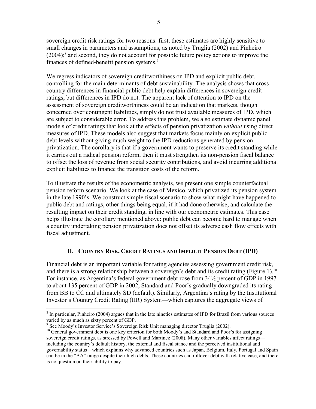sovereign credit risk ratings for two reasons: first, these estimates are highly sensitive to small changes in parameters and assumptions, as noted by Truglia (2002) and Pinheiro  $(2004)$ ;<sup>8</sup> and second, they do not account for possible future policy actions to improve the finances of defined-benefit pension systems.<sup>9</sup>

We regress indicators of sovereign creditworthiness on IPD and explicit public debt, controlling for the main determinants of debt sustainability. The analysis shows that crosscountry differences in financial public debt help explain differences in sovereign credit ratings, but differences in IPD do not. The apparent lack of attention to IPD on the assessment of sovereign creditworthiness could be an indication that markets, though concerned over contingent liabilities, simply do not trust available measures of IPD, which are subject to considerable error. To address this problem, we also estimate dynamic panel models of credit ratings that look at the effects of pension privatization *without* using direct measures of IPD. These models also suggest that markets focus mainly on explicit public debt levels without giving much weight to the IPD reductions generated by pension privatization. The corollary is that if a government wants to preserve its credit standing while it carries out a radical pension reform, then it must strengthen its non-pension fiscal balance to offset the loss of revenue from social security contributions, and avoid incurring additional explicit liabilities to finance the transition costs of the reform.

To illustrate the results of the econometric analysis, we present one simple counterfactual pension reform scenario. We look at the case of Mexico, which privatized its pension system in the late 1990's We construct simple fiscal scenario to show what might have happened to public debt and ratings, other things being equal, if it had done otherwise, and calculate the resulting impact on their credit standing, in line with our econometric estimates. This case helps illustrate the corollary mentioned above: public debt can become hard to manage when a country undertaking pension privatization does not offset its adverse cash flow effects with fiscal adjustment.

## **II. COUNTRY RISK, CREDIT RATINGS AND IMPLICIT PENSION DEBT (IPD)**

Financial debt is an important variable for rating agencies assessing government credit risk, and there is a strong relationship between a sovereign's debt and its credit rating (Figure 1).<sup>10</sup> For instance, as Argentina's federal government debt rose from 34½ percent of GDP in 1997 to about 135 percent of GDP in 2002, Standard and Poor's gradually downgraded its rating from BB to CC and ultimately SD (default). Similarly, Argentina's rating by the Institutional Investor's Country Credit Rating (IIR) System—which captures the aggregate views of

 $\overline{a}$ 

<sup>&</sup>lt;sup>8</sup> In particular, Pinheiro (2004) argues that in the late nineties estimates of IPD for Brazil from various sources varied by as much as sixty percent of GDP.

<sup>&</sup>lt;sup>9</sup> See Moody's Investor Service's Sovereign Risk Unit managing director Truglia (2002).

<sup>&</sup>lt;sup>10</sup> General government debt is one key criterion for both Moody's and Standard and Poor's for assigning sovereign credit ratings, as stressed by Powell and Martinez (2008). Many other variables affect ratings including the country's default history, the external and fiscal stance and the perceived institutional and governability status—which explains why advanced countries such as Japan, Belgium, Italy, Portugal and Spain can be in the "AA" range despite their high debts. These countries can rollover debt with relative ease, and there is no question on their ability to pay.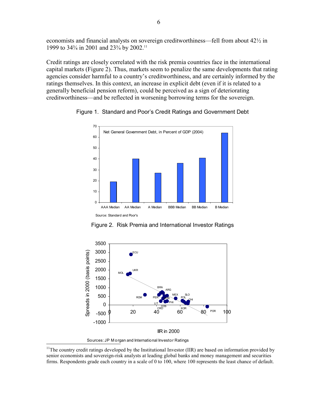economists and financial analysts on sovereign creditworthiness—fell from about 42½ in 1999 to 34<sup>3</sup>/<sub>4</sub> in 2001 and 23<sup>3</sup>/<sub>4</sub> by 2002.<sup>11</sup>

Credit ratings are closely correlated with the risk premia countries face in the international capital markets (Figure 2). Thus, markets seem to penalize the same developments that rating agencies consider harmful to a country's creditworthiness, and are certainly informed by the ratings themselves. In this context, an increase in explicit debt (even if it is related to a generally beneficial pension reform), could be perceived as a sign of deteriorating creditworthiness—and be reflected in worsening borrowing terms for the sovereign.



Figure 1. Standard and Poor's Credit Ratings and Government Debt

Figure 2. Risk Premia and International Investor Ratings



Sources: JP M organ and International Investor Ratings

 $\overline{a}$ 

<sup>&</sup>lt;sup>11</sup>The country credit ratings developed by the Institutional Investor (IIR) are based on information provided by senior economists and sovereign-risk analysts at leading global banks and money management and securities firms. Respondents grade each country in a scale of 0 to 100, where 100 represents the least chance of default.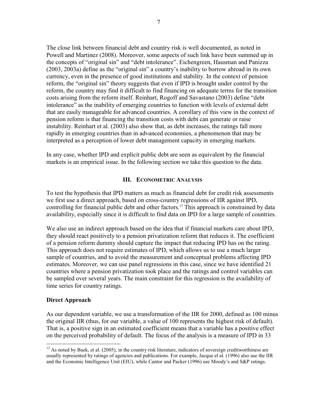The close link between financial debt and country risk is well documented, as noted in Powell and Martinez (2008). Moreover, some aspects of such link have been summed up in the concepts of "original sin" and "debt intolerance". Eichengreen, Hausman and Panizza (2003, 2003a) define as the "original sin" a country's inability to borrow abroad in its own currency, even in the presence of good institutions and stability. In the context of pension reform, the "original sin" theory suggests that even if IPD is brought under control by the reform, the country may find it difficult to find financing on adequate terms for the transition costs arising from the reform itself. Reinhart, Rogoff and Savastano (2003) define "debt intolerance" as the inability of emerging countries to function with levels of external debt that are easily manageable for advanced countries. A corollary of this view in the context of pension reform is that financing the transition costs with debt can generate or raise instability. Reinhart et al. (2003) also show that, as debt increases, the ratings fall more rapidly in emerging countries than in advanced economies, a phenomenon that may be interpreted as a perception of lower debt management capacity in emerging markets.

In any case, whether IPD and explicit public debt are seen as equivalent by the financial markets is an empirical issue. In the following section we take this question to the data.

## **III. ECONOMETRIC ANALYSIS**

To test the hypothesis that IPD matters as much as financial debt for credit risk assessments we first use a direct approach, based on cross-country regressions of IIR against IPD, controlling for financial public debt and other factors.<sup>12</sup> This approach is constrained by data availability, especially since it is difficult to find data on IPD for a large sample of countries.

We also use an indirect approach based on the idea that if financial markets care about IPD, they should react positively to a pension privatization reform that reduces it. The coefficient of a pension reform dummy should capture the impact that reducing IPD has on the rating. This approach does not require estimates of IPD, which allows us to use a much larger sample of countries, and to avoid the measurement and conceptual problems affecting IPD estimates. Moreover, we can use panel regressions in this case, since we have identified 21 countries where a pension privatization took place and the ratings and control variables can be sampled over several years. The main constraint for this regression is the availability of time series for country ratings.

## **Direct Approach**

1

As our dependent variable, we use a transformation of the IIR for 2000, defined as 100 minus the original IIR (thus, for our variable, a value of 100 represents the highest risk of default). That is, a positive sign in an estimated coefficient means that a variable has a positive effect on the perceived probability of default. The focus of the analysis is a measure of IPD in 33

 $12$  As noted by Baek, et al. (2005), in the country risk literature, indicators of sovereign creditworthiness are usually represented by ratings of agencies and publications. For example, Jacque el al. (1996) also use the IIR and the Economic Intelligence Unit (EIU), while Cantor and Packer (1996) use Moody's and S&P ratings.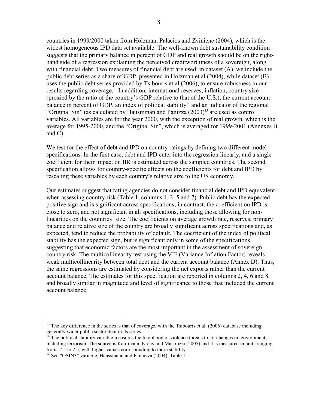countries in 1999/2000 taken from Holzman, Palacios and Zviniene (2004), which is the widest homogeneous IPD data set available. The well-known debt sustainability condition suggests that the primary balance in percent of GDP and real growth should be on the righthand side of a regression explaining the perceived creditworthiness of a sovereign, along with financial debt. Two measures of financial debt are used: in dataset (A), we include the public debt series as a share of GDP, presented in Holzman et al (2004), while dataset (B) uses the public debt series provided by Tsibouris et al (2006), to ensure robustness in our results regarding coverage.<sup>13</sup> In addition, international reserves, inflation, country size (proxied by the ratio of the country's GDP relative to that of the U.S.), the current account balance in percent of GDP, an index of political stability $14$  and an indicator of the regional "Original Sin" (as calculated by Hausmman and Panizza  $(2003)^{15}$  are used as control variables. All variables are for the year 2000, with the exception of real growth, which is the average for 1995-2000, and the "Original Sin", which is averaged for 1999-2001 (Annexes B and C).

We test for the effect of debt and IPD on country ratings by defining two different model specifications. In the first case, debt and IPD enter into the regression linearly, and a single coefficient for their impact on IIR is estimated across the sampled countries. The second specification allows for country-specific effects on the coefficients for debt and IPD by rescaling these variables by each country's relative size to the US economy.

Our estimates suggest that rating agencies do not consider financial debt and IPD equivalent when assessing country risk (Table 1, columns 1, 3, 5 and 7). Public debt has the expected positive sign and is significant across specifications; in contrast, the coefficient on IPD is close to zero, and not significant in all specifications, including those allowing for nonlinearities on the countries' size. The coefficients on average growth rate, reserves, primary balance and relative size of the country are broadly significant across specifications and, as expected, tend to reduce the probability of default. The coefficient of the index of political stability has the expected sign, but is significant only in some of the specifications, suggesting that economic factors are the most important in the assessment of sovereign country risk. The multicollinearity test using the VIF (Variance Inflation Factor) reveals weak multicollinearity between total debt and the current account balance (Annex D). Thus, the same regressions are estimated by considering the net exports rather than the current account balance. The estimates for this specification are reported in columns 2, 4, 6 and 8, and broadly similar in magnitude and level of significance to those that included the current account balance.

 $\overline{a}$ 

<sup>&</sup>lt;sup>13</sup> The key difference in the series is that of coverage, with the Tsibouris et al. (2006) database including generally wider public sector debt in its series.

 $<sup>14</sup>$  The political stability variable measures the likelihood of violence threats to, or changes in, government,</sup> including terrorism. The source is Kaufmann, Kraay and Mastruzzi (2005) and it is measured in units ranging from -2.5 to 2.5, with higher values corresponding to more stability.

<sup>&</sup>lt;sup>15</sup> See "OSIN3" variable, Haussmann and Pannizza (2004), Table 1.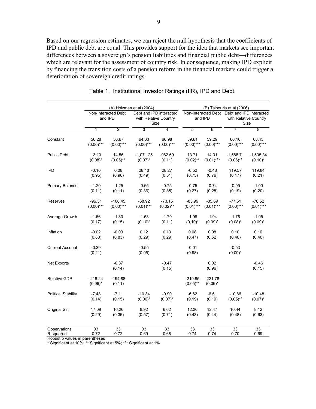Based on our regression estimates, we can reject the null hypothesis that the coefficients of IPD and public debt are equal. This provides support for the idea that markets see important differences between a sovereign's pension liabilities and financial public debt—differences which are relevant for the assessment of country risk. In consequence, making IPD explicit by financing the transition costs of a pension reform in the financial markets could trigger a deterioration of sovereign credit ratings.

|                            |                         | (A) Holzman et al (2004)       |                   |                                                          |                          | (B) Tsibouris et al (2006)                             |                       |                               |  |
|----------------------------|-------------------------|--------------------------------|-------------------|----------------------------------------------------------|--------------------------|--------------------------------------------------------|-----------------------|-------------------------------|--|
|                            |                         | Non-Interacted Debt<br>and IPD |                   | Debt and IPD interacted<br>with Relative Country<br>Size |                          | Non-Interacted Debt Debt and IPD interacted<br>and IPD |                       | with Relative Country<br>Size |  |
|                            | 1                       | $\overline{2}$                 | 3                 | 4                                                        | 5                        | $6\overline{6}$                                        | 7                     | $\overline{8}$                |  |
| Constant                   | 56.28                   | 56.67                          | 64.63             | 66.98                                                    | 59.61                    | 59.29                                                  | 66.10                 | 68.43                         |  |
|                            | $(0.00)$ ***            | $(0.00)$ ***                   | $(0.00)$ ***      | $(0.00)$ ***                                             | $(0.00)$ ***             | $(0.00)$ ***                                           | $(0.00)$ ***          | $(0.00)$ ***                  |  |
| <b>Public Debt</b>         | 13.13                   | 14.56                          | $-1,071.25$       | $-982.69$                                                | 13.71                    | 14.01                                                  | $-1,588.71$           | $-1,535.34$                   |  |
|                            | $(0.08)^*$              | $(0.05)$ **                    | $(0.07)^*$        | (0.11)                                                   | $(0.02)$ **              | $(0.01)$ ***                                           | $(0.06)$ **           | $(0.10)^*$                    |  |
| <b>IPD</b>                 | $-0.10$                 | 0.08                           | 28.43             | 28.27                                                    | $-0.52$                  | $-0.48$                                                | 119.57                | 119.84                        |  |
|                            | (0.95)                  | (0.96)                         | (0.49)            | (0.51)                                                   | (0.75)                   | (0.76)                                                 | (0.17)                | (0.21)                        |  |
| <b>Primary Balance</b>     | $-1.20$                 | $-1.25$                        | $-0.65$           | $-0.75$                                                  | $-0.75$                  | $-0.74$                                                | $-0.95$               | $-1.00$                       |  |
|                            | (0.11)                  | (0.11)                         | (0.36)            | (0.35)                                                   | (0.27)                   | (0.28)                                                 | (0.19)                | (0.20)                        |  |
| Reserves                   | $-96.31$                | $-100.45$                      | $-68.92$          | $-70.15$                                                 | $-85.99$                 | $-85.69$                                               | $-77.51$              | $-78.52$                      |  |
|                            | $(0.00)$ ***            | $(0.00)$ ***                   | $(0.01)$ ***      | $(0.02)$ **                                              | $(0.01)***$              | $(0.01)***$                                            | $(0.00)$ ***          | $(0.01)$ ***                  |  |
| Average Growth             | $-1.66$                 | $-1.83$                        | $-1.58$           | $-1.79$                                                  | $-1.96$                  | $-1.94$                                                | $-1.76$               | $-1.95$                       |  |
|                            | (0.17)                  | (0.15)                         | $(0.10)^*$        | (0.11)                                                   | $(0.10)^*$               | $(0.09)^*$                                             | $(0.08)^*$            | $(0.09)^*$                    |  |
| Inflation                  | $-0.02$                 | $-0.03$                        | 0.12              | 0.13                                                     | 0.08                     | 0.08                                                   | 0.10                  | 0.10                          |  |
|                            | (0.88)                  | (0.83)                         | (0.29)            | (0.29)                                                   | (0.47)                   | (0.52)                                                 | (0.40)                | (0.40)                        |  |
| <b>Current Account</b>     | $-0.39$<br>(0.21)       |                                | $-0.55$<br>(0.05) |                                                          | $-0.01$<br>(0.98)        |                                                        | $-0.53$<br>$(0.09)^*$ |                               |  |
| <b>Net Exports</b>         |                         | $-0.37$<br>(0.14)              |                   | $-0.47$<br>(0.15)                                        |                          | 0.02<br>(0.96)                                         |                       | $-0.46$<br>(0.15)             |  |
| <b>Relative GDP</b>        | $-216.24$<br>$(0.06)^*$ | $-194.88$<br>(0.11)            |                   |                                                          | $-219.85$<br>$(0.05)$ ** | $-221.78$<br>$(0.06)^*$                                |                       |                               |  |
| <b>Political Stability</b> | $-7.48$                 | $-7.11$                        | $-10.34$          | $-9.90$                                                  | $-6.62$                  | $-6.61$                                                | $-10.86$              | $-10.48$                      |  |
|                            | (0.14)                  | (0.15)                         | $(0.06)^*$        | $(0.07)^*$                                               | (0.19)                   | (0.19)                                                 | $(0.05)$ **           | $(0.07)^*$                    |  |
| Original Sin               | 17.09                   | 16.26                          | 8.92              | 6.62                                                     | 12.36                    | 12.47                                                  | 10.44                 | 8.12                          |  |
|                            | (0.29)                  | (0.36)                         | (0.57)            | (0.71)                                                   | (0.43)                   | (0.44)                                                 | (0.48)                | (0.63)                        |  |
| Observations               | 33                      | $\overline{33}$                | $\overline{33}$   | $\overline{33}$                                          | $\overline{33}$          | $\overline{33}$                                        | 33                    | 33                            |  |
| R-squared                  | 0.72                    | 0.72                           | 0.69              | 0.68                                                     | 0.74                     | 0.74                                                   | 0.70                  | 0.69                          |  |

Table 1. Institutional Investor Ratings (IIR), IPD and Debt.

Robust p values in parentheses

\* Significant at 10%; \*\* Significant at 5%; \*\*\* Significant at 1%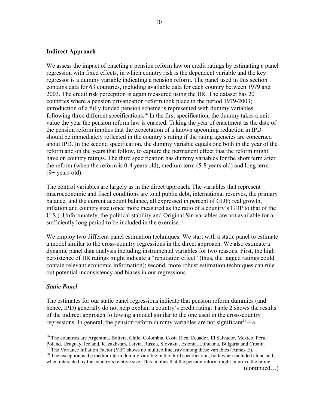## **Indirect Approach**

We assess the impact of enacting a pension reform law on credit ratings by estimating a panel regression with fixed effects, in which country risk is the dependent variable and the key regressor is a dummy variable indicating a pension reform. The panel used in this section contains data for 63 countries, including available data for each country between 1979 and 2003. The credit risk perception is again measured using the IIR. The dataset has 20 countries where a pension privatization reform took place in the period 1979-2003; introduction of a fully funded pension scheme is represented with dummy variables following three different specifications.<sup>16</sup> In the first specification, the dummy takes a unit value the year the pension reform law is enacted. Taking the year of enactment as the date of the pension reform implies that the expectation of a known upcoming reduction in IPD should be immediately reflected in the country's rating if the rating agencies are concerned about IPD. In the second specification, the dummy variable equals one both in the year of the reform and on the years that follow, to capture the permanent effect that the reform might have on country ratings. The third specification has dummy variables for the short term after the reform (when the reform is 0-4 years old), medium term (5-8 years old) and long term  $(9+$  years old).

The control variables are largely as in the direct approach. The variables that represent macroeconomic and fiscal conditions are total public debt, international reserves, the primary balance, and the current account balance, all expressed in percent of GDP; real growth, inflation and country size (once more measured as the ratio of a country's GDP to that of the U.S.). Unfortunately, the political stability and Original Sin variables are not available for a sufficiently long period to be included in the exercise.<sup>17</sup>

We employ two different panel estimation techniques. We start with a static panel to estimate a model similar to the cross-country regressions in the direct approach. We also estimate a dynamic panel data analysis including instrumental variables for two reasons. First, the high persistence of IIR ratings might indicate a "reputation effect" (thus, the lagged ratings could contain relevant economic information); second, more robust estimation techniques can rule out potential inconsistency and biases in our regressions.

## *Static Panel*

 $\overline{a}$ 

The estimates for our static panel regressions indicate that pension reform dummies (and hence, IPD) generally do not help explain a country's credit rating. Table 2 shows the results of the indirect approach following a model similar to the one used in the cross-country regressions. In general, the pension reform dummy variables are not significant<sup>18</sup>—a

<sup>17</sup> The Variance Inflation Factor (VIF) shows no multicollinearity among these variables (Annex E).

(continued…)

<sup>&</sup>lt;sup>16</sup> The countries are Argentina, Bolivia, Chile, Colombia, Costa Rica, Ecuador, El Salvador, Mexico, Peru, Poland, Uruguay, Iceland, Kazakhstan, Latvia, Russia, Slovakia, Estonia, Lithuania, Bulgaria and Croatia.

<sup>&</sup>lt;sup>18</sup> The exception is the medium-term dummy variable in the third specification, both when included alone and when interacted by the country's relative size. This implies that the pension reform might improve the rating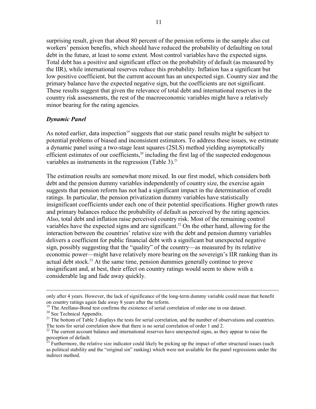surprising result, given that about 80 percent of the pension reforms in the sample also cut workers' pension benefits, which should have reduced the probability of defaulting on total debt in the future, at least to some extent. Most control variables have the expected signs. Total debt has a positive and significant effect on the probability of default (as measured by the IIR), while international reserves reduce this probability. Inflation has a significant but low positive coefficient, but the current account has an unexpected sign. Country size and the primary balance have the expected negative sign, but the coefficients are not significant. These results suggest that given the relevance of total debt and international reserves in the country risk assessments, the rest of the macroeconomic variables might have a relatively minor bearing for the rating agencies.

## *Dynamic Panel*

As noted earlier, data inspection<sup>19</sup> suggests that our static panel results might be subject to potential problems of biased and inconsistent estimators. To address these issues, we estimate a dynamic panel using a two-stage least squares (2SLS) method yielding asymptotically efficient estimates of our coefficients, $20$  including the first lag of the suspected endogenous variables as instruments in the regression (Table 3). $^{21}$ 

The estimation results are somewhat more mixed. In our first model, which considers both debt and the pension dummy variables independently of country size, the exercise again suggests that pension reform has not had a significant impact in the determination of credit ratings. In particular, the pension privatization dummy variables have statistically insignificant coefficients under each one of their potential specifications. Higher growth rates and primary balances reduce the probability of default as perceived by the rating agencies. Also, total debt and inflation raise perceived country risk. Most of the remaining control variables have the expected signs and are significant.<sup>22</sup> On the other hand, allowing for the interaction between the countries' relative size with the debt and pension dummy variables delivers a coefficient for public financial debt with a significant but unexpected negative sign, possibly suggesting that the "quality" of the country—as measured by its relative economic power—might have relatively more bearing on the sovereign's IIR ranking than its actual debt stock.<sup>23</sup> At the same time, pension dummies generally continue to prove insignificant and, at best, their effect on country ratings would seem to show with a considerable lag and fade away quickly.

 $\overline{a}$ 

only after 4 years. However, the lack of significance of the long-term dummy variable could mean that benefit on country ratings again fade away 8 years after the reform.

<sup>&</sup>lt;sup>19</sup> The Arellano-Bond test confirms the existence of serial correlation of order one in our dataset.

<sup>&</sup>lt;sup>20</sup> See Technical Appendix.

<sup>&</sup>lt;sup>21</sup> The bottom of Table 3 displays the tests for serial correlation, and the number of observations and countries. The tests for serial correlation show that there is no serial correlation of order 1 and 2.  $22$  The current account balance and international reserves have unexpected signs, as they appear to raise the

perception of default.

 $^{23}$  Furthermore, the relative size indicator could likely be picking up the impact of other structural issues (such as political stability and the "original sin" ranking) which were not available for the panel regressions under the indirect method.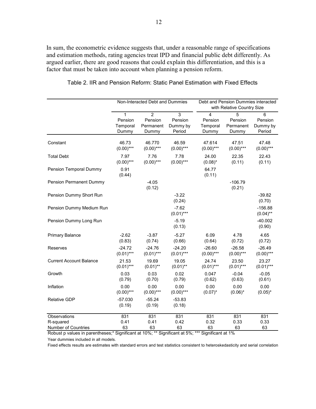In sum, the econometric evidence suggests that, under a reasonable range of specifications and estimation methods, rating agencies treat IPD and financial public debt differently. As argued earlier, there are good reasons that could explain this differentiation, and this is a factor that must be taken into account when planning a pension reform.

|                                | Non-Interacted Debt and Dummies              |                                                 | Debt and Pension Dummies interacted<br>with Relative Country Size |                                                |                                    |                                    |
|--------------------------------|----------------------------------------------|-------------------------------------------------|-------------------------------------------------------------------|------------------------------------------------|------------------------------------|------------------------------------|
|                                | $\mathbf{1}$<br>Pension<br>Temporal<br>Dummy | $\overline{2}$<br>Pension<br>Permanent<br>Dummy | $\overline{3}$<br>Pension<br>Dummy by<br>Period                   | $\overline{4}$<br>Pension<br>Temporal<br>Dummy | 5<br>Pension<br>Permanent<br>Dummy | 6<br>Pension<br>Dummy by<br>Period |
| Constant                       | 46.73<br>$(0.00)$ ***                        | 46.770<br>$(0.00)$ ***                          | 46.59<br>$(0.00)$ ***                                             | 47.614<br>$(0.00)$ ***                         | 47.51<br>$(0.00)$ ***              | 47.48<br>$(0.00)$ ***              |
| <b>Total Debt</b>              | 7.97<br>$(0.00)$ ***                         | 7.76<br>$(0.00)$ ***                            | 7.78<br>$(0.00)$ ***                                              | 24.00<br>$(0.08)^*$                            | 22.35<br>(0.11)                    | 22.43<br>(0.11)                    |
| Pension Temporal Dummy         | 0.91<br>(0.44)                               |                                                 |                                                                   | 64.77<br>(0.11)                                |                                    |                                    |
| <b>Pension Permanent Dummy</b> |                                              | $-4.05$<br>(0.12)                               |                                                                   |                                                | $-106.79$<br>(0.21)                |                                    |
| Pension Dummy Short Run        |                                              |                                                 | $-3.22$<br>(0.24)                                                 |                                                |                                    | $-39.82$<br>(0.70)                 |
| Pension Dummy Medium Run       |                                              |                                                 | $-7.62$<br>$(0.01)***$                                            |                                                |                                    | $-156.88$<br>$(0.04)$ **           |
| Pension Dummy Long Run         |                                              |                                                 | $-5.19$<br>(0.13)                                                 |                                                |                                    | $-40.002$<br>(0.90)                |
| Primary Balance                | $-2.62$<br>(0.83)                            | $-3.87$<br>(0.74)                               | $-5.27$<br>(0.66)                                                 | 6.09<br>(0.64)                                 | 4.78<br>(0.72)                     | 4.65<br>(0.72)                     |
| Reserves                       | $-24.72$<br>$(0.01)***$                      | $-24.76$<br>$(0.01)***$                         | $-24.20$<br>$(0.01)***$                                           | $-26.60$<br>$(0.00)$ ***                       | $-26.58$<br>$(0.00)$ ***           | $-26.49$<br>$(0.00)$ ***           |
| <b>Current Account Balance</b> | 21.53<br>$(0.01)***$                         | 19.69<br>$(0.01)$ **                            | 19.05<br>$(0.01)$ **                                              | 24.74<br>$(0.01)***$                           | 23.50<br>$(0.01)***$               | 23.27<br>$(0.01)***$               |
| Growth                         | 0.03<br>(0.79)                               | 0.03<br>(0.70)                                  | 0.02<br>(0.79)                                                    | 0.047<br>(0.62)                                | $-0.04$<br>(0.63)                  | $-0.05$<br>(0.61)                  |
| Inflation                      | 0.00<br>$(0.00)$ ***                         | 0.00<br>$(0.00)$ ***                            | 0.00<br>$(0.00)$ ***                                              | 0.00<br>$(0.07)^*$                             | 0.00<br>$(0.06)^*$                 | 0.00<br>$(0.05)^*$                 |
| <b>Relative GDP</b>            | $-57.030$<br>(0.19)                          | $-55.24$<br>(0.19)                              | $-53.83$<br>(0.18)                                                |                                                |                                    |                                    |
| Observations                   | 831                                          | 831                                             | 831                                                               | 831                                            | 831                                | 831                                |
| R-squared                      | 0.41                                         | 0.41                                            | 0.42                                                              | 0.32                                           | 0.33                               | 0.33                               |
| Number of Countries            | 63                                           | 63                                              | 63                                                                | 63                                             | 63                                 | 63                                 |

Table 2. IIR and Pension Reform: Static Panel Estimation with Fixed Effects

Robust p values in parentheses;\* Significant at 10%; \*\* Significant at 5%; \*\*\* Significant at 1%

Year dummies included in all models.

Fixed effects results are estimates with standard errors and test statistics consistent to heteroskedasticity and serial correlation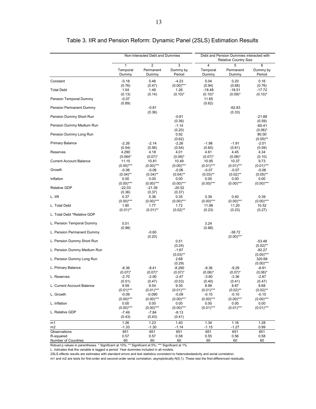|                                |                                     | Non-Interacted Debt and Dummies      |                                     | Debt and Pension Dummies interacted with<br><b>Relative Country Size</b> |                                     |                                     |
|--------------------------------|-------------------------------------|--------------------------------------|-------------------------------------|--------------------------------------------------------------------------|-------------------------------------|-------------------------------------|
|                                | $\mathbf{1}$<br>Temporal<br>Dummy   | $\overline{2}$<br>Permanent<br>Dummy | 3<br>Dummy by<br>Period             | $\overline{4}$<br>Temporal<br>Dummy                                      | 5<br>Permanent<br>Dummy             | 6<br>Dummy by<br>Period             |
| Constant                       | $-0.18$<br>(0.76)                   | 0.48<br>(0.47)                       | $-4.23$<br>$(0.00)$ ***             | 0.04<br>(0.94)                                                           | 0.20<br>(0.68)                      | 0.16<br>(0.76)                      |
| <b>Total Debt</b>              | 1.54                                | 1.49                                 | 1.26                                | $-18.48$                                                                 | $-18.51$                            | $-17.72$                            |
| Pension Temporal Dummy         | (0.13)<br>$-0.07$<br>(0.89)         | (0.14)                               | $(0.10)^*$                          | $(0.10)^*$<br>11.65<br>(0.62)                                            | $(0.09)^*$                          | $(0.10)^*$                          |
| Pension Permanent Dummy        |                                     | $-0.81$<br>(0.36)                    |                                     |                                                                          | $-62.83$<br>(0.33)                  |                                     |
| Pension Dummy Short Run        |                                     |                                      | $-0.81$<br>(0.36)                   |                                                                          |                                     | $-21.88$<br>(0.59)                  |
| Pension Dummy Medium Run       |                                     |                                      | $-1.14$<br>(0.20)                   |                                                                          |                                     | $-60.41$<br>$(0.06)^*$              |
| Pension Dummy Long Run         |                                     |                                      | 0.92<br>(0.62)                      |                                                                          |                                     | 80.00<br>$(0.05)$ **                |
| <b>Primary Balance</b>         | $-2.26$<br>(0.54)                   | $-2.14$<br>(0.56)                    | $-2.26$<br>(0.54)                   | $-1.98$<br>(0.60)                                                        | $-1.91$<br>(0.61)                   | $-2.01$<br>(0.59)                   |
| Reserves                       | 4.290<br>$(0.064*$                  | 4.18                                 | 4.01<br>$(0.09)^*$                  | 4.61<br>$(0.07)^*$                                                       | 4.45                                | 4.34                                |
| <b>Current Account Balance</b> | 11.15<br>$(0.00)$ ***               | $(0.07)^*$<br>10.81<br>$(0.00)$ ***  | 10.49<br>$(0.00)$ ***               | 10.95<br>$(0.01)$ ***                                                    | $(0.08)^*$<br>10.37<br>$(0.01)$ *** | (0.10)<br>9.73<br>$(0.01)$ ***      |
| Growth                         | $-0.06$                             | $-0.06$                              | $-0.06$<br>$(0.04)$ **              | $-0.07$                                                                  | $-0.07$                             | $-0.06$                             |
| Inflation                      | $(0.04)$ **<br>0.00                 | $(0.04)$ **<br>0.00                  | 0.00                                | $(0.03)$ **<br>0.00                                                      | $(0.02)$ **<br>0.00<br>$(0.00)$ *** | $(0.05)$ **<br>0.00<br>$(0.00)$ *** |
| <b>Relative GDP</b>            | $(0.00)$ ***<br>$-22.03$            | $(0.00)$ ***<br>$-21.39$             | $(0.00)$ ***<br>$-20.52$            | $(0.00)$ ***                                                             |                                     |                                     |
| L. IIR                         | (0.36)<br>0.37                      | (0.37)<br>0.36<br>$(0.00)$ ***       | (0.37)<br>0.35                      | 0.39<br>$(0.00)$ ***                                                     | 0.40<br>$(0.00)$ ***                | 0.39<br>$(0.00)$ ***                |
| L. Total Debt                  | $(0.00)$ ***<br>1.80<br>$(0.01)$ ** | 1.77<br>$(0.01)$ **                  | $(0.00)$ ***<br>1.72<br>$(0.02)$ ** | 11.98                                                                    | 11.20                               | 10.52                               |
| L. Total Debt *Relative GDP    |                                     |                                      |                                     | (0.23)                                                                   | (0.23)                              | (0.27)                              |
| L. Pension Temporal Dummy      | 0.01<br>(0.98)                      |                                      |                                     | 3.24<br>(0.88)                                                           |                                     |                                     |
| L. Pension Permanent Dummy     |                                     | $-0.60$<br>(0.20)                    |                                     |                                                                          | $-38.72$<br>$(0.00)$ ***            |                                     |
| L. Pension Dummy Short Run     |                                     |                                      | 0.51<br>(0.24)                      |                                                                          |                                     | $-53.48$<br>$(0.02)$ **             |
| L. Pension Dummy Medium Run    |                                     |                                      | $-1.67$<br>$(0.03)$ **              |                                                                          |                                     | $-92.27$<br>$(0.00)$ ***            |
| L. Pension Dummy Long Run      |                                     |                                      | 2.68<br>(0.29)                      |                                                                          |                                     | 320.68<br>$(0.00)$ ***              |
| L. Primary Balance             | $-8.36$<br>$(0.07)^*$               | $-8.41$<br>$(0.07)^*$                | $-8.290$<br>$(0.07)^*$              | $-9.36$<br>$(0.06)^*$                                                    | $-9.29$<br>$(0.07)^*$               | -8.91<br>$(0.08)^*$                 |
| L. Reserves                    | $-2.70$<br>(0.51)                   | $-2.90$<br>(0.47)                    | $-2.47$<br>(0.53)                   | $-3.60$<br>(0.40)                                                        | $-3.36$<br>(0.41)                   | $-2.87$<br>(0.47)                   |
| L. Current Account Balance     | 9.59<br>$(0.01)$ ***                | 9.54<br>$(0.01)$ ***                 | 9.35<br>$(0.01)***$                 | 8.99<br>$(0.01)$ ***                                                     | 8.87<br>$(0.02)$ **                 | 8.68<br>$(0.02)$ **                 |
| L. Growth                      | $-0.09$<br>$(0.00)$ ***             | $-0.090$<br>$(0.00)$ ***             | $-0.09$<br>$(0.00)$ ***             | $-0.10$<br>$(0.00)$ ***                                                  | $-0.10$<br>$(0.00)$ ***             | $-0.10$<br>$(0.00)$ ***             |
| L. Inflation                   | 0.00<br>$(0.00)$ ***                | 0.00<br>$(0.00)$ ***                 | 0.00<br>$(0.00)$ ***                | 0.00<br>$(0.01)$ ***                                                     | 0.00<br>$(0.01)$ ***                | 0.00<br>$(0.01)$ ***                |
| L. Relative GDP                | $-7.49$<br>(0.43)                   | $-7.84$<br>(0.43)                    | $-8.13$<br>(0.41)                   |                                                                          |                                     |                                     |
| m1                             | 1.26                                | 1.23                                 | 1.40                                | 1.34                                                                     | 1.16                                | 1.28                                |
| m <sub>2</sub><br>Observations | $-1.33$<br>651                      | $-1.30$<br>651                       | $-1.14$<br>651                      | $-1.15$<br>651                                                           | $-1.27$<br>651                      | 0.99<br>651                         |
| R-squared                      | 0.57                                | 0.57                                 | 0.58                                | 0.55                                                                     | 0.56                                | 0.58                                |
| Number of Countries            | 60                                  | 60                                   | 60                                  | 60                                                                       | 60                                  | 60                                  |

Table 3. IIR and Pension Reform: Dynamic Panel (2SLS) Estimation Results

Robust p values in parentheses. \* Significant at 10%; \*\* Significant at 5%; \*\*\* Significant at 1%.

L. indicates that the variable is lagged a period. Year dummies included in all models.

2SLS effects results are estimates with standard errors and test statistics consistent to heteroskedasticity and serial correlation.

m1 and m2 are tests for first-order and second-order serial correlation, asymptotically N(0,1). These test the first-differenced residuals.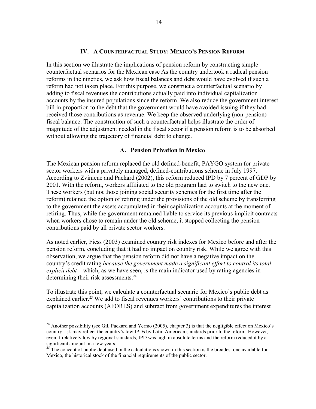## **IV. A COUNTERFACTUAL STUDY: MEXICO'S PENSION REFORM**

In this section we illustrate the implications of pension reform by constructing simple counterfactual scenarios for the Mexican case As the country undertook a radical pension reforms in the nineties, we ask how fiscal balances and debt would have evolved if such a reform had not taken place. For this purpose, we construct a counterfactual scenario by adding to fiscal revenues the contributions actually paid into individual capitalization accounts by the insured populations since the reform. We also reduce the government interest bill in proportion to the debt that the government would have avoided issuing if they had received those contributions as revenue. We keep the observed underlying (non-pension) fiscal balance. The construction of such a counterfactual helps illustrate the order of magnitude of the adjustment needed in the fiscal sector if a pension reform is to be absorbed without allowing the trajectory of financial debt to change.

#### **A. Pension Privation in Mexico**

The Mexican pension reform replaced the old defined-benefit, PAYGO system for private sector workers with a privately managed, defined-contributions scheme in July 1997. According to Zviniene and Packard (2002), this reform reduced IPD by 7 percent of GDP by 2001. With the reform, workers affiliated to the old program had to switch to the new one. These workers (but not those joining social security schemes for the first time after the reform) retained the option of retiring under the provisions of the old scheme by transferring to the government the assets accumulated in their capitalization accounts at the moment of retiring. Thus, while the government remained liable to service its previous implicit contracts when workers chose to remain under the old scheme, it stopped collecting the pension contributions paid by all private sector workers.

As noted earlier, Fiess (2003) examined country risk indexes for Mexico before and after the pension reform, concluding that it had no impact on country risk. While we agree with this observation, we argue that the pension reform did not have a negative impact on the country's credit rating *because the government made a significant effort to control its total explicit debt*—which, as we have seen, is the main indicator used by rating agencies in determining their risk assessments.<sup>24</sup>

To illustrate this point, we calculate a counterfactual scenario for Mexico's public debt as explained earlier.<sup>25</sup> We add to fiscal revenues workers' contributions to their private capitalization accounts (AFORES) and subtract from government expenditures the interest

1

<sup>&</sup>lt;sup>24</sup> Another possibility (see Gil, Packard and Yermo (2005), chapter 3) is that the negligible effect on Mexico's country risk may reflect the country's low IPDs by Latin American standards prior to the reform. However, even if relatively low by regional standards, IPD was high in absolute terms and the reform reduced it by a significant amount in a few years.

 $25$ <sup>25</sup> The concept of public debt used in the calculations shown in this section is the broadest one available for Mexico, the historical stock of the financial requirements of the public sector.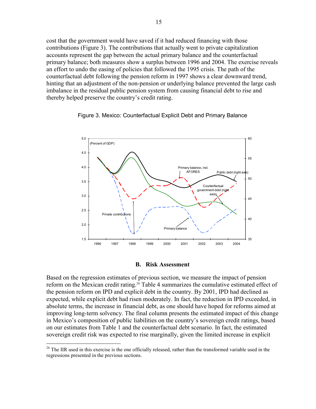cost that the government would have saved if it had reduced financing with those contributions (Figure 3). The contributions that actually went to private capitalization accounts represent the gap between the actual primary balance and the counterfactual primary balance; both measures show a surplus between 1996 and 2004. The exercise reveals an effort to undo the easing of policies that followed the 1995 crisis. The path of the counterfactual debt following the pension reform in 1997 shows a clear downward trend, hinting that an adjustment of the non-pension or underlying balance prevented the large cash imbalance in the residual public pension system from causing financial debt to rise and thereby helped preserve the country's credit rating.





#### **B. Risk Assessment**

Based on the regression estimates of previous section, we measure the impact of pension reform on the Mexican credit rating.<sup>26</sup> Table 4 summarizes the cumulative estimated effect of the pension reform on IPD and explicit debt in the country. By 2001, IPD had declined as expected, while explicit debt had risen moderately. In fact, the reduction in IPD exceeded, in absolute terms, the increase in financial debt, as one should have hoped for reforms aimed at improving long-term solvency. The final column presents the estimated impact of this change in Mexico's composition of public liabilities on the country's sovereign credit ratings, based on our estimates from Table 1 and the counterfactual debt scenario. In fact, the estimated sovereign credit risk was expected to rise marginally, given the limited increase in explicit

<u>.</u>

<sup>&</sup>lt;sup>26</sup> The IIR used in this exercise is the one officially released, rather than the transformed variable used in the regressions presented in the previous sections.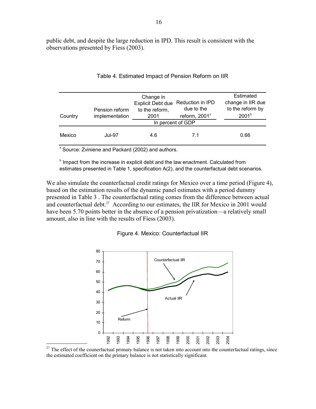public debt, and despite the large reduction in IPD. This result is consistent with the observations presented by Fiess (2003).

| Country | Pension reform<br>implementation | Change in<br><b>Explicit Debt due</b><br>to the reform,<br>2001 | Reduction in IPD<br>due to the<br>reform, 2001 <sup>ª</sup><br>In percent of GDP | Estimated<br>change in IIR due<br>to the reform by<br>2001 <sup>b</sup> |
|---------|----------------------------------|-----------------------------------------------------------------|----------------------------------------------------------------------------------|-------------------------------------------------------------------------|
| Mexico  | <b>Jul-97</b>                    | 4.6                                                             | 7.1                                                                              | 0.66                                                                    |

## Table 4. Estimated Impact of Pension Reform on IIR

<sup>a</sup> Source: Zviniene and Packard (2002) and authors.

 $\overline{a}$ 

**b** Impact from the increase in explicit debt and the law enactment. Calculated from estimates presented in Table 1, specification A(2), and the counterfactual debt scenarios.

We also simulate the counterfactual credit ratings for Mexico over a time period (Figure 4), based on the estimation results of the dynamic panel estimates with a period dummy presented in Table 3 . The counterfactual rating comes from the difference between actual and counterfactual debt.<sup>27</sup> According to our estimates, the IIR for Mexico in 2001 would have been 5.70 points better in the absence of a pension privatization—a relatively small amount, also in line with the results of Fiess (2003).





 $27$  The effect of the counerfactual primary balance is not taken into account into the counterfactual ratings, since the estimated coefficient on the primary balance is not statistically significant.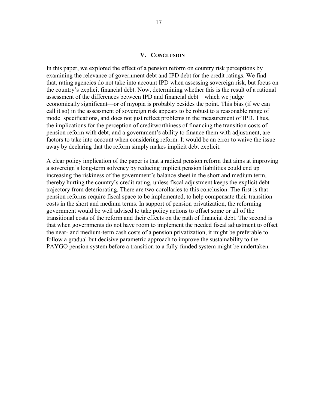## **V. CONCLUSION**

In this paper, we explored the effect of a pension reform on country risk perceptions by examining the relevance of government debt and IPD debt for the credit ratings. We find that, rating agencies do not take into account IPD when assessing sovereign risk, but focus on the country's explicit financial debt. Now, determining whether this is the result of a rational assessment of the differences between IPD and financial debt—which we judge economically significant—or of myopia is probably besides the point. This bias (if we can call it so) in the assessment of sovereign risk appears to be robust to a reasonable range of model specifications, and does not just reflect problems in the measurement of IPD. Thus, the implications for the perception of creditworthiness of financing the transition costs of pension reform with debt, and a government's ability to finance them with adjustment, are factors to take into account when considering reform. It would be an error to waive the issue away by declaring that the reform simply makes implicit debt explicit.

A clear policy implication of the paper is that a radical pension reform that aims at improving a sovereign's long-term solvency by reducing implicit pension liabilities could end up increasing the riskiness of the government's balance sheet in the short and medium term, thereby hurting the country's credit rating, unless fiscal adjustment keeps the explicit debt trajectory from deteriorating. There are two corollaries to this conclusion. The first is that pension reforms require fiscal space to be implemented, to help compensate their transition costs in the short and medium terms. In support of pension privatization, the reforming government would be well advised to take policy actions to offset some or all of the transitional costs of the reform and their effects on the path of financial debt. The second is that when governments do not have room to implement the needed fiscal adjustment to offset the near- and medium-term cash costs of a pension privatization, it might be preferable to follow a gradual but decisive parametric approach to improve the sustainability to the PAYGO pension system before a transition to a fully-funded system might be undertaken.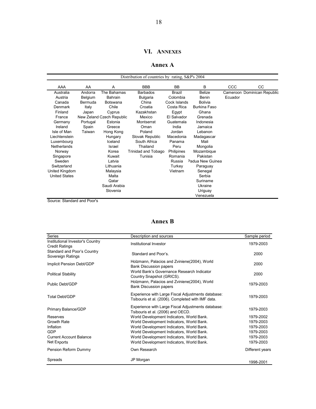## **VI. ANNEXES**

#### **Annex A**

|                      |          |                           | Distribution of countries by rating, S&P's 2004 |               |                  |            |                             |
|----------------------|----------|---------------------------|-------------------------------------------------|---------------|------------------|------------|-----------------------------|
|                      | AA       | A                         | <b>BBB</b>                                      | <b>BB</b>     | B                | <b>CCC</b> | CC.                         |
| AAA                  |          |                           |                                                 |               |                  |            |                             |
| Australia            | Andorra  | The Bahamas               | <b>Barbados</b>                                 | <b>Brazil</b> | <b>Belize</b>    |            | Cameroon Dominican Republic |
| Austria              | Belgium  | Bahrain                   | <b>Bulgaria</b>                                 | Colombia      | Benin            | Ecuador    |                             |
| Canada               | Bermuda  | Botswana                  | China                                           | Cock Islands  | <b>Bolivia</b>   |            |                             |
| Denmark              | Italy    | Chile                     | Croatia                                         | Costa Rica    | Burkina Faso     |            |                             |
| Finland              | Japan    | Cyprus                    | Kazakhstan                                      | Egypt         | Ghana            |            |                             |
| France               |          | New Zeland Czech Republic | Mexico                                          | El Salvador   | Grenada          |            |                             |
| Germany              | Portugal | Estonia                   | Montserrat                                      | Guatemala     | Indonesia        |            |                             |
| Ireland              | Spain    | Greece                    | Oman                                            | India         | Jamaica          |            |                             |
| Isle of Man          | Taiwan   | Hong Kong                 | Poland                                          | Jordan        | Lebanon          |            |                             |
| Liechtenstein        |          | Hungary                   | Slovak Republic                                 | Macedonia     | Madagascar       |            |                             |
| Luxembourg           |          | Iceland                   | South Africa                                    | Panama        | Mali             |            |                             |
| <b>Netherlands</b>   |          | Israel                    | Thailand                                        | Peru          | Mongolia         |            |                             |
| Norway               |          | Korea                     | Trinidad and Tobago                             | Philipines    | Mozambique       |            |                             |
| Singapore            |          | Kuwait                    | Tunisia                                         | Romania       | Pakistan         |            |                             |
| Sweden               |          | Latvia                    |                                                 | Russia        | Padua New Guinea |            |                             |
| Switzerland          |          | Lithuania                 |                                                 | Turkey        | Paraguay         |            |                             |
| United Kingdom       |          | Malaysia                  |                                                 | Vietnam       | Senegal          |            |                             |
| <b>United States</b> |          | Malta                     |                                                 |               | Serbia           |            |                             |
|                      |          | Qatar                     |                                                 |               | Suriname         |            |                             |
|                      |          | Saudi Arabia              |                                                 |               | Ukraine          |            |                             |
|                      |          | Slovenia                  |                                                 |               | Uriguay          |            |                             |
|                      |          |                           |                                                 |               | Venezuela        |            |                             |

Source: Standard and Poor's

## **Annex B**

| Series                                                    | Description and sources                                                                                 | Sample period   |
|-----------------------------------------------------------|---------------------------------------------------------------------------------------------------------|-----------------|
| Institutional Investor's Country<br><b>Credit Ratings</b> | Institutional Investor                                                                                  | 1979-2003       |
| Standard and Poor's Country<br>Sovereign Ratings          | Standard and Poor's.                                                                                    | 2000            |
| Implicit Pension Debt/GDP                                 | Holzmann, Palacios and Zviniene (2004), World<br><b>Bank Discussion papers</b>                          | 2000            |
| <b>Political Stability</b>                                | World Bank's Governance Research Indicator<br>Country Snapshot (GRICS).                                 | 2000            |
| Public Debt/GDP                                           | Holzmann, Palacios and Zviniene (2004), World<br><b>Bank Discussion papers</b>                          | 1979-2003       |
| Total Debt/GDP                                            | Experience with Large Fiscal Adjustments database:<br>Tsibouris et al. (2006). Completed with IMF data. | 1979-2003       |
| Primary Balance/GDP                                       | Experience with Large Fiscal Adjustments database:<br>Tsibouris et al. (2006) and OECD.                 | 1979-2003       |
| Reserves                                                  | World Development Indicators, World Bank.                                                               | 1979-2002       |
| <b>Growth Rate</b>                                        | World Development Indicators, World Bank.                                                               | 1979-2003       |
| Inflation                                                 | World Development Indicators, World Bank.                                                               | 1979-2003       |
| GDP                                                       | World Development Indicators, World Bank.                                                               | 1979-2003       |
| <b>Current Account Balance</b>                            | World Development Indicators, World Bank.                                                               | 1979-2003       |
| Net Exports                                               | World Development Indicators, World Bank.                                                               | 1979-2003       |
| Pension Reform Dummy                                      | Own Research                                                                                            | Different years |
| Spreads                                                   | JP Morgan                                                                                               | 1998-2001       |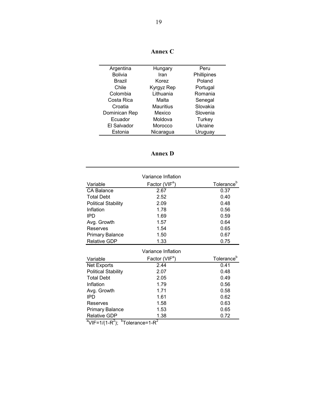| Argentina      | Hungary    | Peru        |
|----------------|------------|-------------|
| <b>Bolivia</b> | Iran       | Phillipines |
| Brazil         | Korez      | Poland      |
| Chile          | Kyrgyz Rep | Portugal    |
| Colombia       | Lithuania  | Romania     |
| Costa Rica     | Malta      | Senegal     |
| Croatia        | Mauritius  | Slovakia    |
| Dominican Rep  | Mexico     | Slovenia    |
| Ecuador        | Moldova    | Turkey      |
| El Salvador    | Morocco    | Ukraine     |
| Estonia        | Nicaragua  | Uruguay     |

**Annex C** 

| \n n e |  |
|--------|--|
|--------|--|

|                                                     | Variance Inflation         |                        |
|-----------------------------------------------------|----------------------------|------------------------|
| Variable                                            | Factor (VIF <sup>a</sup> ) | Tolerance <sup>b</sup> |
| <b>CA Balance</b>                                   | 2.67                       | 0.37                   |
| <b>Total Debt</b>                                   | 2.52                       | 0.40                   |
| <b>Political Stability</b>                          | 2.09                       | 0.48                   |
| Inflation                                           | 1.78                       | 0.56                   |
| <b>IPD</b>                                          | 1.69                       | 0.59                   |
| Avg. Growth                                         | 1.57                       | 0.64                   |
| Reserves                                            | 1.54                       | 0.65                   |
| <b>Primary Balance</b>                              | 1.50                       | 0.67                   |
| <b>Relative GDP</b>                                 | 1.33                       | 0.75                   |
|                                                     | Variance Inflation         |                        |
| Variable                                            | Factor (VIF <sup>a</sup> ) | Tolerance <sup>b</sup> |
| Net Exports                                         | 2.44                       | 0.41                   |
| <b>Political Stability</b>                          | 2.07                       | 0.48                   |
| <b>Total Debt</b>                                   | 2.05                       | 0.49                   |
| Inflation                                           | 1.79                       | 0.56                   |
| Avg. Growth                                         | 1.71                       | 0.58                   |
| <b>IPD</b>                                          | 1.61                       | 0.62                   |
| Reserves                                            | 1.58                       | 0.63                   |
| <b>Primary Balance</b>                              | 1.53                       | 0.65                   |
| <b>Relative GDP</b><br>$h$ —<br>$a_{1} = 1.11 - 2.$ | 1.38<br>2                  | 0.72                   |

 $\mathrm{^{a}V}$ IF=1/(1-R<sup>2</sup>);  $\mathrm{^{b}T}$ olerance=1-R<sup>2</sup>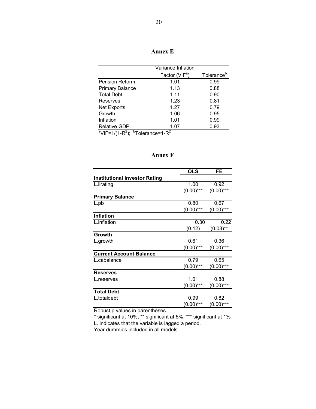| \nno<br>e |  |
|-----------|--|
|-----------|--|

|                                                                                 | Variance Inflation         |                        |
|---------------------------------------------------------------------------------|----------------------------|------------------------|
|                                                                                 | Factor (VIF <sup>a</sup> ) | Tolerance <sup>b</sup> |
| <b>Pension Reform</b>                                                           | 1.01                       | 0.99                   |
| <b>Primary Balance</b>                                                          | 1.13                       | 0.88                   |
| <b>Total Debt</b>                                                               | 1.11                       | 0.90                   |
| Reserves                                                                        | 1.23                       | 0.81                   |
| Net Exports                                                                     | 1.27                       | 0.79                   |
| Growth                                                                          | 1.06                       | 0.95                   |
| Inflation                                                                       | 1.01                       | 0.99                   |
| <b>Relative GDP</b>                                                             | 1.07                       | 0.93                   |
| <sup>a</sup> VIF=1/(1-R <sup>2</sup> ); <sup>b</sup> Tolerance=1-R <sup>2</sup> |                            |                        |

## **Annex F**

|                                      | <b>OLS</b>   | FE           |
|--------------------------------------|--------------|--------------|
| <b>Institutional Investor Rating</b> |              |              |
| L.iirating                           | 1.00         | 0.92         |
|                                      | $(0.00)$ *** | $(0.00)$ *** |
| <b>Primary Balance</b>               |              |              |
| L.pb                                 | 0.80         | 0.67         |
|                                      | $(0.00)$ *** | $(0.00)$ *** |
| <b>Inflation</b>                     |              |              |
| L.inflation                          | 0.30         | 0.22         |
|                                      | (0.12)       | $(0.03)$ **  |
| Growth                               |              |              |
| L.growth                             | 0.61         | 0.36         |
|                                      | $(0.00)$ *** | $(0.00)$ *** |
| <b>Current Account Balance</b>       |              |              |
| L.cabalance                          | 0.79         | 0.65         |
|                                      | $(0.00)$ *** | $(0.00)$ *** |
| <b>Reserves</b>                      |              |              |
| L.reserves                           | 1.01         | 0.88         |
|                                      | $(0.00)$ *** | $(0.00)$ *** |
| <b>Total Debt</b>                    |              |              |
| L.totaldebt                          | 0.99         | 0.82         |
|                                      | $(0.00)$ *** | $(0.00)$ *** |

Robust p values in parentheses.

\* significant at 10%; \*\* significant at 5%; \*\*\* significant at 1% L. indicates that the variable is lagged a period.

Year dummies included in all models.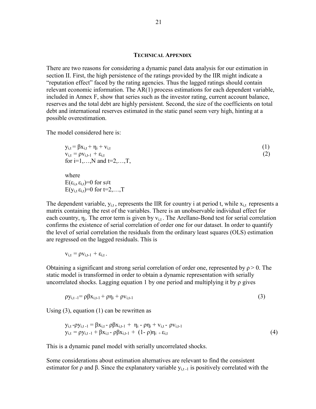#### **TECHNICAL APPENDIX**

There are two reasons for considering a dynamic panel data analysis for our estimation in section II. First, the high persistence of the ratings provided by the IIR might indicate a "reputation effect" faced by the rating agencies. Thus the lagged ratings should contain relevant economic information. The AR(1) process estimations for each dependent variable, included in Annex F, show that series such as the investor rating, current account balance, reserves and the total debt are highly persistent. Second, the size of the coefficients on total debt and international reserves estimated in the static panel seem very high, hinting at a possible overestimation.

The model considered here is:

$$
y_{i,t} = \beta x_{i,t} + \eta_i + v_{i,t}
$$
  
\n
$$
v_{i,t} = \rho v_{i,t-1} + \varepsilon_{i,t}
$$
  
\nfor i=1,...,N and t=2,...,T,  
\nwhere  
\n
$$
E(\varepsilon_{i,s} \varepsilon_{i,t})=0 \text{ for } s \neq t
$$
  
\n
$$
E(y_{i,t} \varepsilon_{i,t})=0 \text{ for } t=2,...,T
$$

The dependent variable,  $y_{i,t}$ , represents the IIR for country i at period t, while  $x_{i,t}$  represents a matrix containing the rest of the variables. There is an unobservable individual effect for each country,  $\eta_i$ . The error term is given by  $v_{i,t}$ . The Arellano-Bond test for serial correlation confirms the existence of serial correlation of order one for our dataset. In order to quantify the level of serial correlation the residuals from the ordinary least squares (OLS) estimation are regressed on the lagged residuals. This is

$$
v_{i,t}=\rho v_{i,t\text{-}1}+\epsilon_{i,t}\,.
$$

Obtaining a significant and strong serial correlation of order one, represented by  $\rho > 0$ . The static model is transformed in order to obtain a dynamic representation with serially uncorrelated shocks. Lagging equation 1 by one period and multiplying it by  $\rho$  gives

$$
\rho y_{i,t-1} = \rho \beta x_{i,t-1} + \rho \eta_i + \rho v_{i,t-1}
$$
\n(3)

Using (3), equation (1) can be rewritten as

$$
y_{i,t} - \rho y_{i,t-1} = \beta x_{i,t} - \rho \beta x_{i,t-1} + \eta_i - \rho \eta_i + v_{i,t} - \rho v_{i,t-1}
$$
  
\n
$$
y_{i,t} = \rho y_{i,t-1} + \beta x_{i,t} - \rho \beta x_{i,t-1} + (1 - \rho) \eta_i + \varepsilon_{i,t}
$$
 (4)

This is a dynamic panel model with serially uncorrelated shocks.

Some considerations about estimation alternatives are relevant to find the consistent estimator for ρ and β. Since the explanatory variable  $y_{i,t-1}$  is positively correlated with the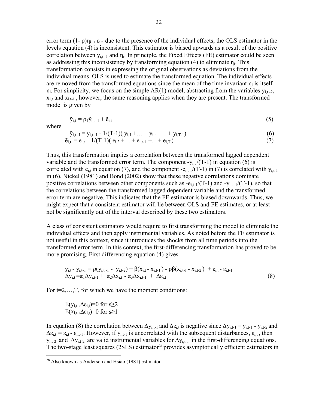error term  $(1-\rho)\eta_i + \varepsilon_{i,t}$  due to the presence of the individual effects, the OLS estimator in the levels equation (4) is inconsistent. This estimator is biased upwards as a result of the positive correlation between  $y_{i,t-1}$  and  $\eta_i$ . In principle, the Fixed Effects (FE) estimator could be seen as addressing this inconsistency by transforming equation (4) to eliminate  $\eta_i$ . This transformation consists in expressing the original observations as deviations from the individual means. OLS is used to estimate the transformed equation. The individual effects are removed from the transformed equations since the mean of the time invariant  $\eta_i$  is itself  $\eta_i$ . For simplicity, we focus on the simple AR(1) model, abstracting from the variables  $y_{i,t-2}$ ,  $x_{i,t}$  and  $x_{i,t-1}$ , however, the same reasoning applies when they are present. The transformed model is given by

$$
\tilde{\mathbf{y}}_{i,t} = \rho_1 \tilde{\mathbf{y}}_{i,t-1} + \tilde{\mathbf{e}}_{i,t} \tag{5}
$$

where

 $\overline{a}$ 

$$
\tilde{y}_{i,t-1} = y_{i,t-1} - 1/(T-1)(y_{i,1} + ... + y_{i,t} + ... + y_{i,T-1})
$$
\n
$$
\tilde{e}_{i,t} = e_{i,t} - 1/(T-1)(e_{i,2} + ... + e_{i,t-1} + ... + e_{i,T})
$$
\n(6)

Thus, this transformation implies a correlation between the transformed lagged dependent variable and the transformed error term. The component  $-y_{it}/(T-1)$  in equation (6) is correlated with  $e_{i,t}$  in equation (7), and the component  $-e_{i,t-1}/(T-1)$  in (7) is correlated with  $y_{i,t-1}$ in (6). Nickel (1981) and Bond (2002) show that these negative correlations dominate positive correlations between other components such as  $-e_{i,t-1}/(T-1)$  and  $-v_{i,t-1}/(T-1)$ , so that the correlations between the transformed lagged dependent variable and the transformed error term are negative. This indicates that the FE estimator is biased downwards. Thus, we might expect that a consistent estimator will lie between OLS and FE estimates, or at least not be significantly out of the interval described by these two estimators.

A class of consistent estimators would require to first transforming the model to eliminate the individual effects and then apply instrumental variables. As noted before the FE estimator is not useful in this context, since it introduces the shocks from all time periods into the transformed error term. In this context, the first-differencing transformation has proved to be more promising. First differencing equation (4) gives

$$
y_{i,t} - y_{i,t-1} = \rho(y_{i,t-1} - y_{i,t-2}) + \beta(x_{i,t} - x_{i,t-1}) - \rho\beta(x_{i,t-1} - x_{i,t-2}) + \varepsilon_{i,t} - \varepsilon_{i,t-1} \n\Delta y_{i,t} = \pi_1 \Delta y_{i,t-1} + \pi_2 \Delta x_{i,t} - \pi_3 \Delta x_{i,t-1} + \Delta \varepsilon_{i,t}
$$
\n(8)

For  $t=2,...,T$ , for which we have the moment conditions:

$$
\begin{array}{l}E(y_{i,t\text{-}s}\Delta\epsilon_{i,t})=0\text{ for }s\geq2\\E(x_{i,t\text{-}s}\Delta\epsilon_{i,t})=0\text{ for }s\geq1\end{array}
$$

In equation (8) the correlation between  $\Delta y_{i,t-1}$  and  $\Delta \varepsilon_{i,t}$  is negative since  $\Delta y_{i,t-1} = y_{i,t-1} - y_{i,t-2}$  and  $\Delta \varepsilon_{i,t} = \varepsilon_{i,t}$ . However, if  $y_{i,t-1}$  is uncorrelated with the subsequent disturbances,  $\varepsilon_{i,t}$ , then  $y_{i,t-2}$  and  $\Delta y_{i,t-2}$  are valid instrumental variables for  $\Delta y_{i,t-1}$  in the first-differencing equations. The two-stage least squares (2SLS) estimator<sup>28</sup> provides asymptotically efficient estimators in

 $^{28}$  Also known as Anderson and Hsiao (1981) estimator.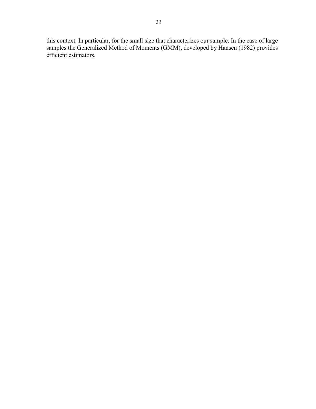this context. In particular, for the small size that characterizes our sample. In the case of large samples the Generalized Method of Moments (GMM), developed by Hansen (1982) provides efficient estimators.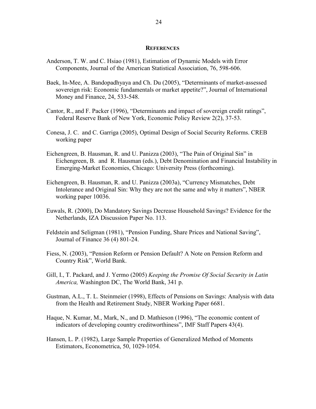#### **REFERENCES**

- Anderson, T. W. and C. Hsiao (1981), Estimation of Dynamic Models with Error Components, Journal of the American Statistical Association, 76, 598-606.
- Baek, In-Mee, A. Bandopadhyaya and Ch. Du (2005), "Determinants of market-assessed sovereign risk: Economic fundamentals or market appetite?", Journal of International Money and Finance, 24, 533-548.
- Cantor, R., and F. Packer (1996), "Determinants and impact of sovereign credit ratings", Federal Reserve Bank of New York, Economic Policy Review 2(2), 37-53.
- Conesa, J. C. and C. Garriga (2005), Optimal Design of Social Security Reforms. CREB working paper
- Eichengreen, B. Hausman, R. and U. Panizza (2003), "The Pain of Original Sin" in Eichengreen, B. and R. Hausman (eds.), Debt Denomination and Financial Instability in Emerging-Market Economies, Chicago: University Press (forthcoming).
- Eichengreen, B. Hausman, R. and U. Panizza (2003a), "Currency Mismatches, Debt Intolerance and Original Sin: Why they are not the same and why it matters", NBER working paper 10036.
- Euwals, R. (2000), Do Mandatory Savings Decrease Household Savings? Evidence for the Netherlands, IZA Discussion Paper No. 113.
- Feldstein and Seligman (1981), "Pension Funding, Share Prices and National Saving", Journal of Finance 36 (4) 801-24.
- Fiess, N. (2003), "Pension Reform or Pension Default? A Note on Pension Reform and Country Risk", World Bank.
- Gill, I., T. Packard, and J. Yermo (2005) *Keeping the Promise Of Social Security in Latin America,* Washington DC, The World Bank, 341 p.
- Gustman, A.L., T. L. Steinmeier (1998), Effects of Pensions on Savings: Analysis with data from the Health and Retirement Study, NBER Working Paper 6681.
- Haque, N. Kumar, M., Mark, N., and D. Mathieson (1996), "The economic content of indicators of developing country creditworthiness", IMF Staff Papers 43(4).
- Hansen, L. P. (1982), Large Sample Properties of Generalized Method of Moments Estimators, Econometrica, 50, 1029-1054.